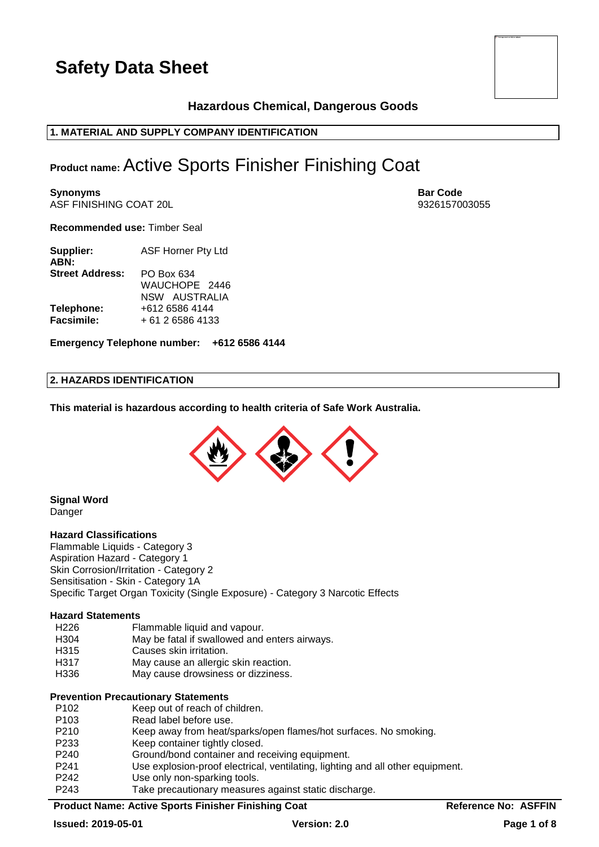

# **Hazardous Chemical, Dangerous Goods**

# **1. MATERIAL AND SUPPLY COMPANY IDENTIFICATION**

# **Product name:**Active Sports Finisher Finishing Coat

**Synonyms Bar Code** ASF FINISHING COAT 20L 9326157003055

**Recommended use:** Timber Seal

| Supplier:<br>ABN:      | ASF Horner Pty Ltd |  |  |  |
|------------------------|--------------------|--|--|--|
| <b>Street Address:</b> | PO Box 634         |  |  |  |
|                        | WAUCHOPE 2446      |  |  |  |
|                        | NSW AUSTRALIA      |  |  |  |
| Telephone:             | +612 6586 4144     |  |  |  |
| <b>Facsimile:</b>      | + 61 2 6586 4133   |  |  |  |

**Emergency Telephone number: +612 6586 4144**

# **2. HAZARDS IDENTIFICATION**

**This material is hazardous according to health criteria of Safe Work Australia.**



#### **Signal Word** Danger

#### **Hazard Classifications**

Flammable Liquids - Category 3 Aspiration Hazard - Category 1 Skin Corrosion/Irritation - Category 2 Sensitisation - Skin - Category 1A Specific Target Organ Toxicity (Single Exposure) - Category 3 Narcotic Effects

#### **Hazard Statements**

- H226 Flammable liquid and vapour.
- H304 May be fatal if swallowed and enters airways.
- H315 Causes skin irritation.
- H317 May cause an allergic skin reaction.
- H336 May cause drowsiness or dizziness.

# **Prevention Precautionary Statements**

| P <sub>102</sub> | Keep out of reach of children.                                                 |
|------------------|--------------------------------------------------------------------------------|
| P <sub>103</sub> | Read label before use.                                                         |
| P <sub>210</sub> | Keep away from heat/sparks/open flames/hot surfaces. No smoking.               |
| P <sub>233</sub> | Keep container tightly closed.                                                 |
| P <sub>240</sub> | Ground/bond container and receiving equipment.                                 |
| P <sub>241</sub> | Use explosion-proof electrical, ventilating, lighting and all other equipment. |
| P <sub>242</sub> | Use only non-sparking tools.                                                   |
| P <sub>243</sub> | Take precautionary measures against static discharge.                          |
|                  |                                                                                |

# **Product Name: Active Sports Finisher Finishing Coat Reference No: ASFFIN**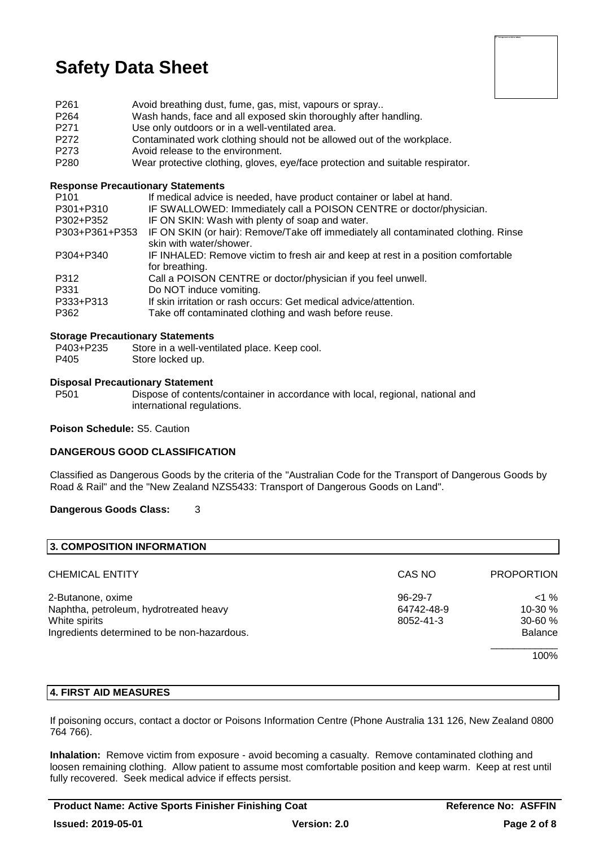

- P261 Avoid breathing dust, fume, gas, mist, vapours or spray..
- P264 Wash hands, face and all exposed skin thoroughly after handling.
- P271 Use only outdoors or in a well-ventilated area.
- P272 Contaminated work clothing should not be allowed out of the workplace.<br>P273 Avoid release to the environment
- P273 Avoid release to the environment.<br>P280 Wear protective clothing gloves
- Wear protective clothing, gloves, eye/face protection and suitable respirator.

#### **Response Precautionary Statements**

| P <sub>101</sub> | If medical advice is needed, have product container or label at hand.                                         |
|------------------|---------------------------------------------------------------------------------------------------------------|
| P301+P310        | IF SWALLOWED: Immediately call a POISON CENTRE or doctor/physician.                                           |
| P302+P352        | IF ON SKIN: Wash with plenty of soap and water.                                                               |
| P303+P361+P353   | IF ON SKIN (or hair): Remove/Take off immediately all contaminated clothing. Rinse<br>skin with water/shower. |
| P304+P340        | IF INHALED: Remove victim to fresh air and keep at rest in a position comfortable<br>for breathing.           |
| P312             | Call a POISON CENTRE or doctor/physician if you feel unwell.                                                  |
| P331             | Do NOT induce vomiting.                                                                                       |
| P333+P313        | If skin irritation or rash occurs: Get medical advice/attention.                                              |
| P362             | Take off contaminated clothing and wash before reuse.                                                         |
|                  |                                                                                                               |

#### **Storage Precautionary Statements**

- P403+P235 Store in a well-ventilated place. Keep cool.
- P405 Store locked up.

#### **Disposal Precautionary Statement**

P501 Dispose of contents/container in accordance with local, regional, national and international regulations.

#### **Poison Schedule:** S5. Caution

# **DANGEROUS GOOD CLASSIFICATION**

Classified as Dangerous Goods by the criteria of the "Australian Code for the Transport of Dangerous Goods by Road & Rail" and the "New Zealand NZS5433: Transport of Dangerous Goods on Land".

# **Dangerous Goods Class:** 3

| 3. COMPOSITION INFORMATION                  |               |                   |
|---------------------------------------------|---------------|-------------------|
| <b>CHEMICAL ENTITY</b>                      | CAS NO        | <b>PROPORTION</b> |
| 2-Butanone, oxime                           | $96 - 29 - 7$ | $<$ 1 %           |
| Naphtha, petroleum, hydrotreated heavy      | 64742-48-9    | 10-30 %           |
| White spirits                               | 8052-41-3     | $30 - 60 \%$      |
| Ingredients determined to be non-hazardous. |               | <b>Balance</b>    |
|                                             |               | 100%              |

# **4. FIRST AID MEASURES**

If poisoning occurs, contact a doctor or Poisons Information Centre (Phone Australia 131 126, New Zealand 0800 764 766).

**Inhalation:** Remove victim from exposure - avoid becoming a casualty. Remove contaminated clothing and loosen remaining clothing. Allow patient to assume most comfortable position and keep warm. Keep at rest until fully recovered. Seek medical advice if effects persist.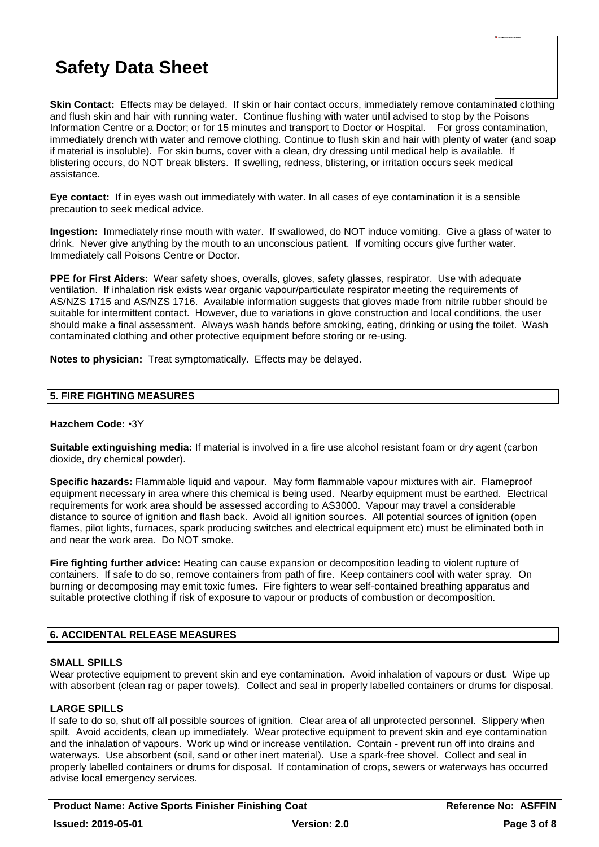**Skin Contact:** Effects may be delayed. If skin or hair contact occurs, immediately remove contaminated clothing and flush skin and hair with running water. Continue flushing with water until advised to stop by the Poisons Information Centre or a Doctor; or for 15 minutes and transport to Doctor or Hospital. For gross contamination, immediately drench with water and remove clothing. Continue to flush skin and hair with plenty of water (and soap if material is insoluble). For skin burns, cover with a clean, dry dressing until medical help is available. If blistering occurs, do NOT break blisters. If swelling, redness, blistering, or irritation occurs seek medical assistance.

**Eye contact:** If in eyes wash out immediately with water. In all cases of eye contamination it is a sensible precaution to seek medical advice.

**Ingestion:** Immediately rinse mouth with water. If swallowed, do NOT induce vomiting. Give a glass of water to drink. Never give anything by the mouth to an unconscious patient. If vomiting occurs give further water. Immediately call Poisons Centre or Doctor.

**PPE for First Aiders:** Wear safety shoes, overalls, gloves, safety glasses, respirator. Use with adequate ventilation. If inhalation risk exists wear organic vapour/particulate respirator meeting the requirements of AS/NZS 1715 and AS/NZS 1716. Available information suggests that gloves made from nitrile rubber should be suitable for intermittent contact. However, due to variations in glove construction and local conditions, the user should make a final assessment. Always wash hands before smoking, eating, drinking or using the toilet. Wash contaminated clothing and other protective equipment before storing or re-using.

**Notes to physician:** Treat symptomatically. Effects may be delayed.

# **5. FIRE FIGHTING MEASURES**

# **Hazchem Code:** •3Y

**Suitable extinguishing media:** If material is involved in a fire use alcohol resistant foam or dry agent (carbon dioxide, dry chemical powder).

**Specific hazards:** Flammable liquid and vapour. May form flammable vapour mixtures with air. Flameproof equipment necessary in area where this chemical is being used. Nearby equipment must be earthed. Electrical requirements for work area should be assessed according to AS3000. Vapour may travel a considerable distance to source of ignition and flash back. Avoid all ignition sources. All potential sources of ignition (open flames, pilot lights, furnaces, spark producing switches and electrical equipment etc) must be eliminated both in and near the work area. Do NOT smoke.

**Fire fighting further advice:** Heating can cause expansion or decomposition leading to violent rupture of containers. If safe to do so, remove containers from path of fire. Keep containers cool with water spray. On burning or decomposing may emit toxic fumes. Fire fighters to wear self-contained breathing apparatus and suitable protective clothing if risk of exposure to vapour or products of combustion or decomposition.

# **6. ACCIDENTAL RELEASE MEASURES**

# **SMALL SPILLS**

Wear protective equipment to prevent skin and eye contamination. Avoid inhalation of vapours or dust. Wipe up with absorbent (clean rag or paper towels). Collect and seal in properly labelled containers or drums for disposal.

# **LARGE SPILLS**

If safe to do so, shut off all possible sources of ignition. Clear area of all unprotected personnel. Slippery when spilt. Avoid accidents, clean up immediately. Wear protective equipment to prevent skin and eye contamination and the inhalation of vapours. Work up wind or increase ventilation. Contain - prevent run off into drains and waterways. Use absorbent (soil, sand or other inert material). Use a spark-free shovel. Collect and seal in properly labelled containers or drums for disposal. If contamination of crops, sewers or waterways has occurred advise local emergency services.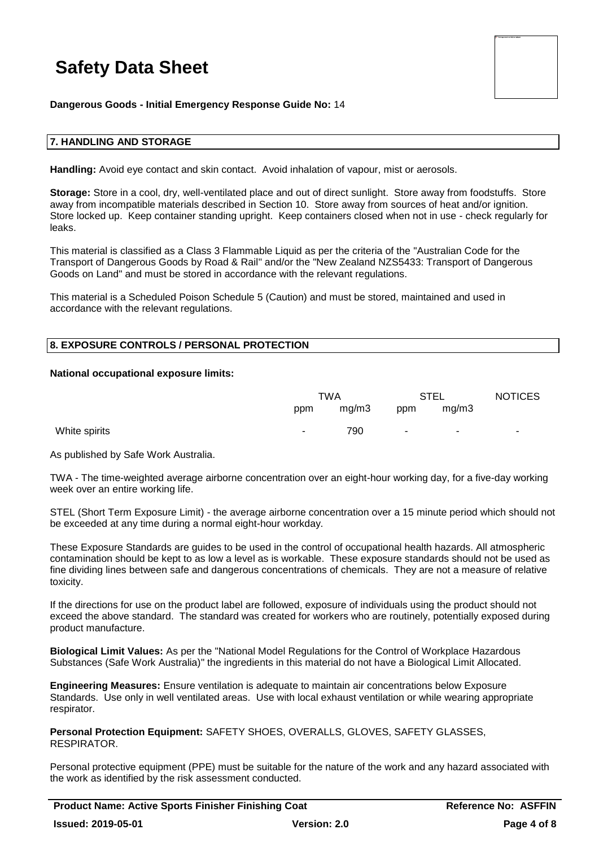

**Dangerous Goods - Initial Emergency Response Guide No:** 14

#### **7. HANDLING AND STORAGE**

**Handling:** Avoid eye contact and skin contact. Avoid inhalation of vapour, mist or aerosols.

**Storage:** Store in a cool, dry, well-ventilated place and out of direct sunlight. Store away from foodstuffs. Store away from incompatible materials described in Section 10. Store away from sources of heat and/or ignition. Store locked up. Keep container standing upright. Keep containers closed when not in use - check regularly for leaks.

This material is classified as a Class 3 Flammable Liquid as per the criteria of the "Australian Code for the Transport of Dangerous Goods by Road & Rail" and/or the "New Zealand NZS5433: Transport of Dangerous Goods on Land" and must be stored in accordance with the relevant regulations.

This material is a Scheduled Poison Schedule 5 (Caution) and must be stored, maintained and used in accordance with the relevant regulations.

#### **8. EXPOSURE CONTROLS / PERSONAL PROTECTION**

#### **National occupational exposure limits:**

|               | TWA    |       | STEL   |                          | <b>NOTICES</b> |
|---------------|--------|-------|--------|--------------------------|----------------|
|               | ppm    | mg/m3 | ppm    | mq/m3                    |                |
| White spirits | $\sim$ | 790   | $\sim$ | $\overline{\phantom{a}}$ | ۰              |

As published by Safe Work Australia.

TWA - The time-weighted average airborne concentration over an eight-hour working day, for a five-day working week over an entire working life.

STEL (Short Term Exposure Limit) - the average airborne concentration over a 15 minute period which should not be exceeded at any time during a normal eight-hour workday.

These Exposure Standards are guides to be used in the control of occupational health hazards. All atmospheric contamination should be kept to as low a level as is workable. These exposure standards should not be used as fine dividing lines between safe and dangerous concentrations of chemicals. They are not a measure of relative toxicity.

If the directions for use on the product label are followed, exposure of individuals using the product should not exceed the above standard. The standard was created for workers who are routinely, potentially exposed during product manufacture.

**Biological Limit Values:** As per the "National Model Regulations for the Control of Workplace Hazardous Substances (Safe Work Australia)" the ingredients in this material do not have a Biological Limit Allocated.

**Engineering Measures:** Ensure ventilation is adequate to maintain air concentrations below Exposure Standards. Use only in well ventilated areas. Use with local exhaust ventilation or while wearing appropriate respirator.

**Personal Protection Equipment:** SAFETY SHOES, OVERALLS, GLOVES, SAFETY GLASSES, **RESPIRATOR** 

Personal protective equipment (PPE) must be suitable for the nature of the work and any hazard associated with the work as identified by the risk assessment conducted.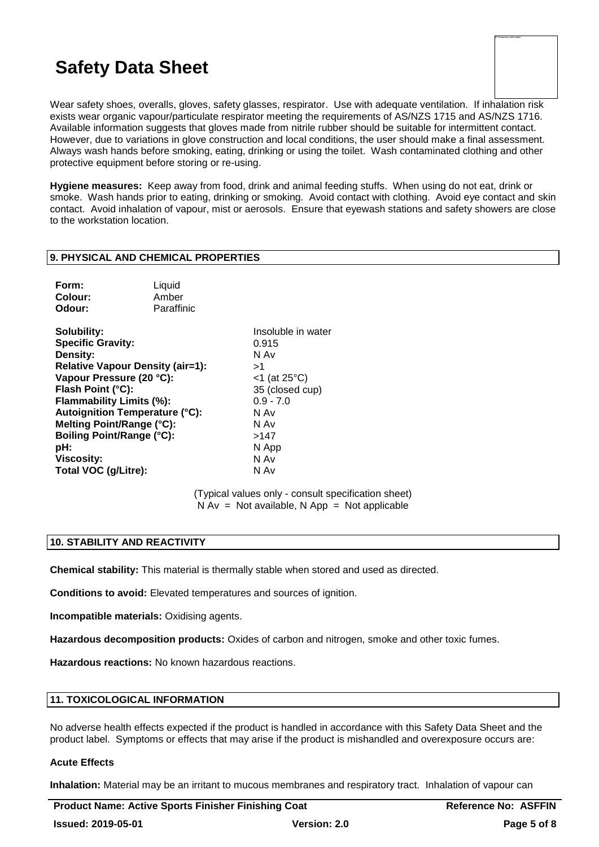| To Training second surveily be displayed. |  |  |
|-------------------------------------------|--|--|
|                                           |  |  |
|                                           |  |  |
|                                           |  |  |
|                                           |  |  |
|                                           |  |  |
|                                           |  |  |
|                                           |  |  |
|                                           |  |  |
|                                           |  |  |
|                                           |  |  |

Wear safety shoes, overalls, gloves, safety glasses, respirator. Use with adequate ventilation. If inhalation risk exists wear organic vapour/particulate respirator meeting the requirements of AS/NZS 1715 and AS/NZS 1716. Available information suggests that gloves made from nitrile rubber should be suitable for intermittent contact. However, due to variations in glove construction and local conditions, the user should make a final assessment. Always wash hands before smoking, eating, drinking or using the toilet. Wash contaminated clothing and other protective equipment before storing or re-using.

**Hygiene measures:** Keep away from food, drink and animal feeding stuffs. When using do not eat, drink or smoke. Wash hands prior to eating, drinking or smoking. Avoid contact with clothing. Avoid eye contact and skin contact. Avoid inhalation of vapour, mist or aerosols. Ensure that eyewash stations and safety showers are close to the workstation location.

#### **9. PHYSICAL AND CHEMICAL PROPERTIES**

| Form:   | Liquid     |
|---------|------------|
| Colour: | Amber      |
| Odour:  | Paraffinic |

**Solubility:** Insoluble in water **Specific Gravity:** 0.915 **Density:** N Av **Relative Vapour Density (air=1):** >1 **Vapour Pressure (20 °C):** <1 (at 25°C) **Flash Point (°C):** 35 (closed cup) **Flammability Limits (%):** 0.9 - 7.0 **Autoignition Temperature (°C):** N Av **Melting Point/Range (°C):** N Av **Boiling Point/Range (°C):**  $>147$ <br>**pH:** N Ap **Viscosity:** N Av **Total VOC (g/Litre):** N Av

**pH:** N App

(Typical values only - consult specification sheet)  $N Av = Not available, N App = Not applicable$ 

# **10. STABILITY AND REACTIVITY**

**Chemical stability:** This material is thermally stable when stored and used as directed.

**Conditions to avoid:** Elevated temperatures and sources of ignition.

**Incompatible materials:** Oxidising agents.

**Hazardous decomposition products:** Oxides of carbon and nitrogen, smoke and other toxic fumes.

**Hazardous reactions:** No known hazardous reactions.

# **11. TOXICOLOGICAL INFORMATION**

No adverse health effects expected if the product is handled in accordance with this Safety Data Sheet and the product label. Symptoms or effects that may arise if the product is mishandled and overexposure occurs are:

#### **Acute Effects**

**Inhalation:** Material may be an irritant to mucous membranes and respiratory tract. Inhalation of vapour can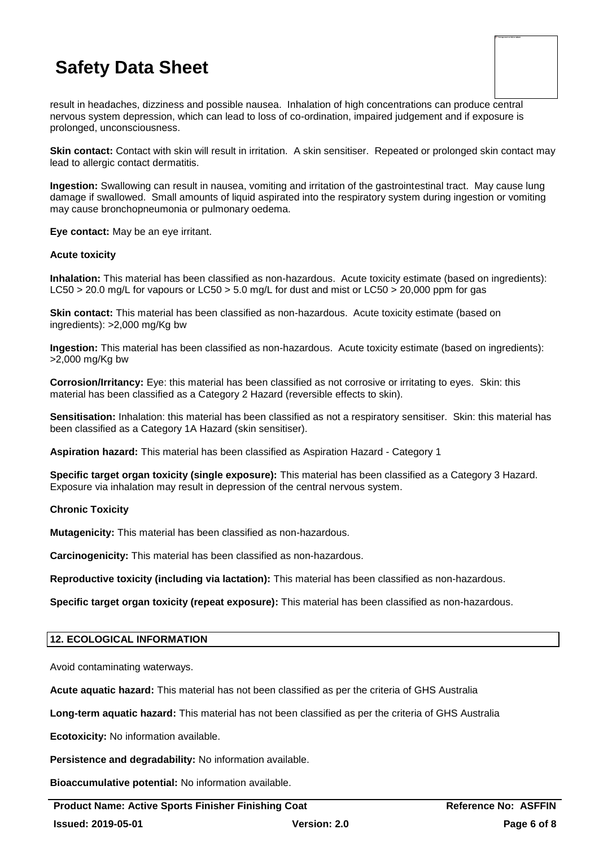| To This image second europeity be simplayed. |  |  |
|----------------------------------------------|--|--|
|                                              |  |  |
|                                              |  |  |
|                                              |  |  |
|                                              |  |  |
|                                              |  |  |
|                                              |  |  |
|                                              |  |  |
|                                              |  |  |
|                                              |  |  |
|                                              |  |  |
|                                              |  |  |
|                                              |  |  |
|                                              |  |  |
|                                              |  |  |
|                                              |  |  |
|                                              |  |  |
|                                              |  |  |
|                                              |  |  |
|                                              |  |  |
|                                              |  |  |
|                                              |  |  |

result in headaches, dizziness and possible nausea. Inhalation of high concentrations can produce central nervous system depression, which can lead to loss of co-ordination, impaired judgement and if exposure is prolonged, unconsciousness.

**Skin contact:** Contact with skin will result in irritation. A skin sensitiser. Repeated or prolonged skin contact may lead to allergic contact dermatitis.

**Ingestion:** Swallowing can result in nausea, vomiting and irritation of the gastrointestinal tract. May cause lung damage if swallowed. Small amounts of liquid aspirated into the respiratory system during ingestion or vomiting may cause bronchopneumonia or pulmonary oedema.

**Eye contact:** May be an eye irritant.

#### **Acute toxicity**

**Inhalation:** This material has been classified as non-hazardous. Acute toxicity estimate (based on ingredients): LC50 > 20.0 mg/L for vapours or LC50 > 5.0 mg/L for dust and mist or LC50 > 20,000 ppm for gas

**Skin contact:** This material has been classified as non-hazardous. Acute toxicity estimate (based on ingredients): >2,000 mg/Kg bw

**Ingestion:** This material has been classified as non-hazardous. Acute toxicity estimate (based on ingredients): >2,000 mg/Kg bw

**Corrosion/Irritancy:** Eye: this material has been classified as not corrosive or irritating to eyes. Skin: this material has been classified as a Category 2 Hazard (reversible effects to skin).

**Sensitisation:** Inhalation: this material has been classified as not a respiratory sensitiser. Skin: this material has been classified as a Category 1A Hazard (skin sensitiser).

**Aspiration hazard:** This material has been classified as Aspiration Hazard - Category 1

**Specific target organ toxicity (single exposure):** This material has been classified as a Category 3 Hazard. Exposure via inhalation may result in depression of the central nervous system.

# **Chronic Toxicity**

**Mutagenicity:** This material has been classified as non-hazardous.

**Carcinogenicity:** This material has been classified as non-hazardous.

**Reproductive toxicity (including via lactation):** This material has been classified as non-hazardous.

**Specific target organ toxicity (repeat exposure):** This material has been classified as non-hazardous.

# **12. ECOLOGICAL INFORMATION**

Avoid contaminating waterways.

**Acute aquatic hazard:** This material has not been classified as per the criteria of GHS Australia

**Long-term aquatic hazard:** This material has not been classified as per the criteria of GHS Australia

**Ecotoxicity:** No information available.

**Persistence and degradability:** No information available.

**Bioaccumulative potential:** No information available.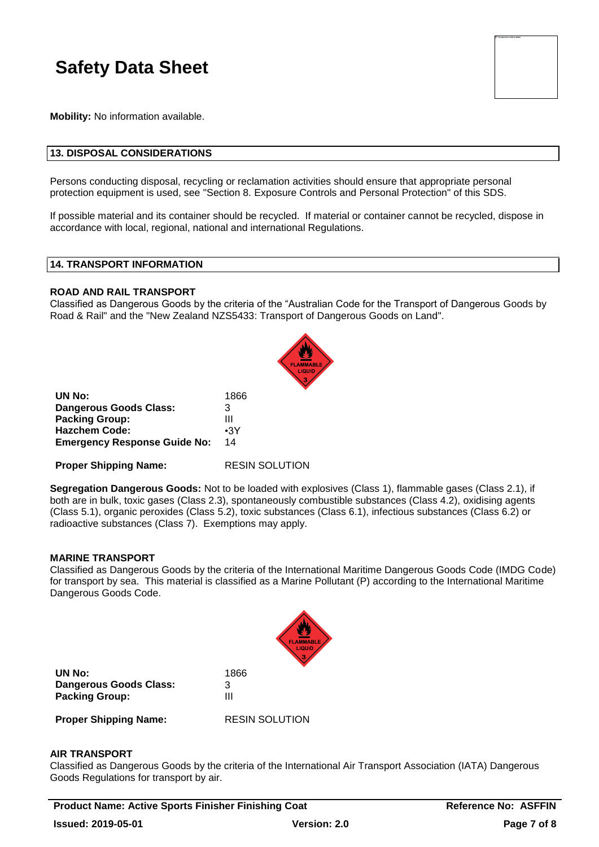**Mobility:** No information available.

### **13. DISPOSAL CONSIDERATIONS**

Persons conducting disposal, recycling or reclamation activities should ensure that appropriate personal protection equipment is used, see "Section 8. Exposure Controls and Personal Protection" of this SDS.

If possible material and its container should be recycled. If material or container cannot be recycled, dispose in accordance with local, regional, national and international Regulations.

#### **14. TRANSPORT INFORMATION**

#### **ROAD AND RAIL TRANSPORT**

Classified as Dangerous Goods by the criteria of the "Australian Code for the Transport of Dangerous Goods by Road & Rail" and the "New Zealand NZS5433: Transport of Dangerous Goods on Land".

| UN No:                              | 1866       |
|-------------------------------------|------------|
| <b>Dangerous Goods Class:</b>       | 3          |
| <b>Packing Group:</b>               | Ш          |
| <b>Hazchem Code:</b>                | $\cdot$ 3Y |
| <b>Emergency Response Guide No:</b> | 14         |
|                                     |            |

**Proper Shipping Name:** RESIN SOLUTION

**Segregation Dangerous Goods:** Not to be loaded with explosives (Class 1), flammable gases (Class 2.1), if both are in bulk, toxic gases (Class 2.3), spontaneously combustible substances (Class 4.2), oxidising agents (Class 5.1), organic peroxides (Class 5.2), toxic substances (Class 6.1), infectious substances (Class 6.2) or radioactive substances (Class 7). Exemptions may apply.

#### **MARINE TRANSPORT**

Classified as Dangerous Goods by the criteria of the International Maritime Dangerous Goods Code (IMDG Code) for transport by sea. This material is classified as a Marine Pollutant (P) according to the International Maritime Dangerous Goods Code.

|                               | <b>FLAMMABLE</b><br>LIQUID |
|-------------------------------|----------------------------|
| UN No:                        | 1866                       |
| <b>Dangerous Goods Class:</b> | З                          |
| <b>Packing Group:</b>         | Ш                          |
| <b>Proper Shipping Name:</b>  | <b>RESIN SOLUTION</b>      |

#### **AIR TRANSPORT**

Classified as Dangerous Goods by the criteria of the International Air Transport Association (IATA) Dangerous Goods Regulations for transport by air.

**Product Name: Active Sports Finisher Finishing Coat Reference No: ASFFIN Issued: 2019-05-01 Version: 2.0 Page 7 of 8**